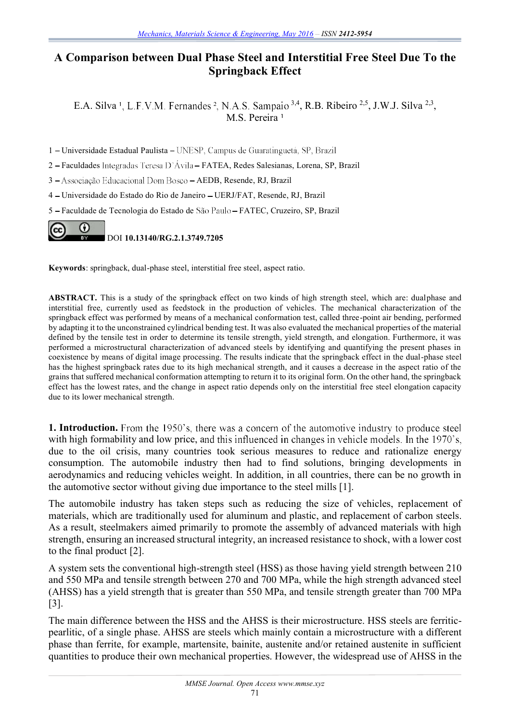## **A Comparison between Dual Phase Steel and Interstitial Free Steel Due To the Springback Effect**

E.A. Silva<sup>1</sup>, L.F.V.M. Fernandes<sup>2</sup>, N.A.S. Sampaio<sup>3,4</sup>, R.B. Ribeiro<sup>2,5</sup>, J.W.J. Silva<sup>2,3</sup>, M.S. Pereira

1 – Universidade Estadual Paulista – UNESP, Campus de Guaratinguetá, SP, Brazil

2 - Faculdades Integradas Teresa D'Ávila - FATEA, Redes Salesianas, Lorena, SP, Brazil

3 - Associação Educacional Dom Bosco - AEDB, Resende, RJ, Brazil

4 Universidade do Estado do Rio de Janeiro UERJ/FAT, Resende, RJ, Brazil

5 Faculdade de Tecnologia do Estado de FATEC, Cruzeiro, SP, Brazil



**Keywords**: springback, dual-phase steel, interstitial free steel, aspect ratio.

**ABSTRACT.** This is a study of the springback effect on two kinds of high strength steel, which are: dualphase and interstitial free, currently used as feedstock in the production of vehicles. The mechanical characterization of the springback effect was performed by means of a mechanical conformation test, called three-point air bending, performed by adapting it to the unconstrained cylindrical bending test. It was also evaluated the mechanical properties of the material defined by the tensile test in order to determine its tensile strength, yield strength, and elongation. Furthermore, it was performed a microstructural characterization of advanced steels by identifying and quantifying the present phases in coexistence by means of digital image processing. The results indicate that the springback effect in the dual-phase steel has the highest springback rates due to its high mechanical strength, and it causes a decrease in the aspect ratio of the grains that suffered mechanical conformation attempting to return it to its original form. On the other hand, the springback effect has the lowest rates, and the change in aspect ratio depends only on the interstitial free steel elongation capacity due to its lower mechanical strength.

**1. Introduction.** From the 1950's, there was a concern of the automotive industry to produce steel with high formability and low price, and this influenced in changes in vehicle models. In the 1970's, due to the oil crisis, many countries took serious measures to reduce and rationalize energy consumption. The automobile industry then had to find solutions, bringing developments in aerodynamics and reducing vehicles weight. In addition, in all countries, there can be no growth in the automotive sector without giving due importance to the steel mills [1].

The automobile industry has taken steps such as reducing the size of vehicles, replacement of materials, which are traditionally used for aluminum and plastic, and replacement of carbon steels. As a result, steelmakers aimed primarily to promote the assembly of advanced materials with high strength, ensuring an increased structural integrity, an increased resistance to shock, with a lower cost to the final product [2].

A system sets the conventional high-strength steel (HSS) as those having yield strength between 210 and 550 MPa and tensile strength between 270 and 700 MPa, while the high strength advanced steel (AHSS) has a yield strength that is greater than 550 MPa, and tensile strength greater than 700 MPa [3].

The main difference between the HSS and the AHSS is their microstructure. HSS steels are ferriticpearlitic, of a single phase. AHSS are steels which mainly contain a microstructure with a different phase than ferrite, for example, martensite, bainite, austenite and/or retained austenite in sufficient quantities to produce their own mechanical properties. However, the widespread use of AHSS in the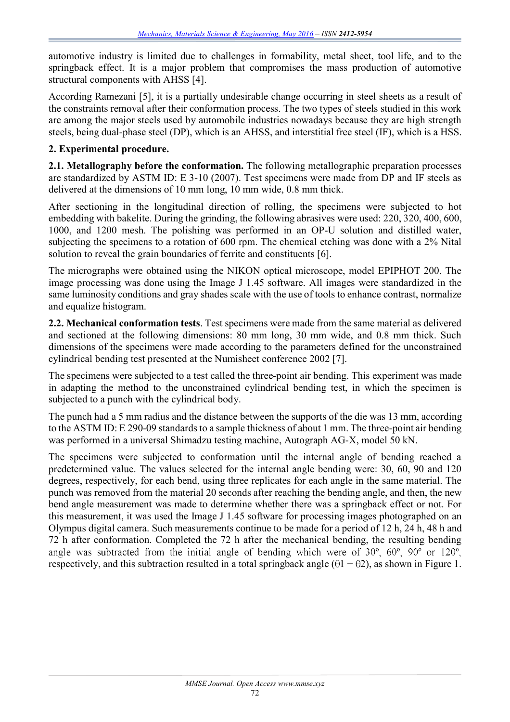automotive industry is limited due to challenges in formability, metal sheet, tool life, and to the springback effect. It is a major problem that compromises the mass production of automotive structural components with AHSS [4].

According Ramezani [5], it is a partially undesirable change occurring in steel sheets as a result of the constraints removal after their conformation process. The two types of steels studied in this work are among the major steels used by automobile industries nowadays because they are high strength steels, being dual-phase steel (DP), which is an AHSS, and interstitial free steel (IF), which is a HSS.

## **2. Experimental procedure.**

**2.1. Metallography before the conformation.** The following metallographic preparation processes are standardized by ASTM ID: E 3-10 (2007). Test specimens were made from DP and IF steels as delivered at the dimensions of 10 mm long, 10 mm wide, 0.8 mm thick.

After sectioning in the longitudinal direction of rolling, the specimens were subjected to hot embedding with bakelite. During the grinding, the following abrasives were used: 220, 320, 400, 600, 1000, and 1200 mesh. The polishing was performed in an OP-U solution and distilled water, subjecting the specimens to a rotation of 600 rpm. The chemical etching was done with a 2% Nital solution to reveal the grain boundaries of ferrite and constituents [6].

The micrographs were obtained using the NIKON optical microscope, model EPIPHOT 200. The image processing was done using the Image J 1.45 software. All images were standardized in the same luminosity conditions and gray shades scale with the use of tools to enhance contrast, normalize and equalize histogram.

**2.2. Mechanical conformation tests**. Test specimens were made from the same material as delivered and sectioned at the following dimensions: 80 mm long, 30 mm wide, and 0.8 mm thick. Such dimensions of the specimens were made according to the parameters defined for the unconstrained cylindrical bending test presented at the Numisheet conference 2002 [7].

The specimens were subjected to a test called the three-point air bending. This experiment was made in adapting the method to the unconstrained cylindrical bending test, in which the specimen is subjected to a punch with the cylindrical body.

The punch had a 5 mm radius and the distance between the supports of the die was 13 mm, according to the ASTM ID: E 290-09 standards to a sample thickness of about 1 mm. The three-point air bending was performed in a universal Shimadzu testing machine, Autograph AG-X, model 50 kN.

The specimens were subjected to conformation until the internal angle of bending reached a predetermined value. The values selected for the internal angle bending were: 30, 60, 90 and 120 degrees, respectively, for each bend, using three replicates for each angle in the same material. The punch was removed from the material 20 seconds after reaching the bending angle, and then, the new bend angle measurement was made to determine whether there was a springback effect or not. For this measurement, it was used the Image J 1.45 software for processing images photographed on an Olympus digital camera. Such measurements continue to be made for a period of 12 h, 24 h, 48 h and 72 h after conformation. Completed the 72 h after the mechanical bending, the resulting bending angle was subtracted from the initial angle of bending which were of  $30^{\circ}$ ,  $60^{\circ}$ ,  $90^{\circ}$  or  $120^{\circ}$ , respectively, and this subtraction resulted in a total springback angle  $(\theta$ 1 +  $\theta$ 2), as shown in Figure 1.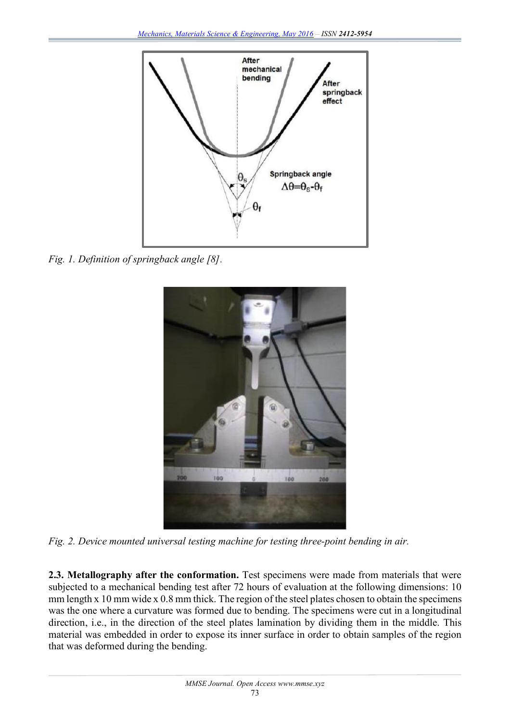

*Fig. 1. Definition of springback angle [8].*



*Fig. 2. Device mounted universal testing machine for testing three-point bending in air.*

**2.3. Metallography after the conformation.** Test specimens were made from materials that were subjected to a mechanical bending test after 72 hours of evaluation at the following dimensions: 10 mm length x 10 mm wide x 0.8 mm thick. The region of the steel plates chosen to obtain the specimens was the one where a curvature was formed due to bending. The specimens were cut in a longitudinal direction, i.e., in the direction of the steel plates lamination by dividing them in the middle. This material was embedded in order to expose its inner surface in order to obtain samples of the region that was deformed during the bending.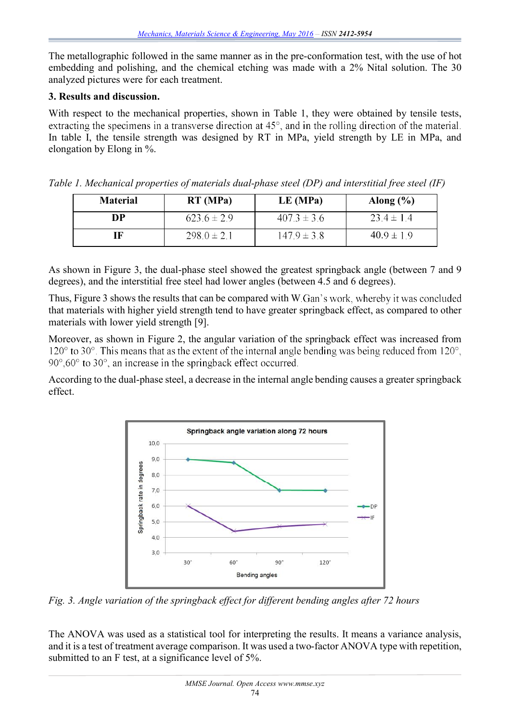The metallographic followed in the same manner as in the pre-conformation test, with the use of hot embedding and polishing, and the chemical etching was made with a 2% Nital solution. The 30 analyzed pictures were for each treatment.

## **3. Results and discussion.**

With respect to the mechanical properties, shown in Table 1, they were obtained by tensile tests, extracting the specimens in a transverse direction at  $45^{\circ}$ , and in the rolling direction of the material. In table I, the tensile strength was designed by RT in MPa, yield strength by LE in MPa, and elongation by Elong in %.

| <b>Material</b> | RT(MPa)         | LE(MPa)         | Along $(\% )$  |
|-----------------|-----------------|-----------------|----------------|
| DP              | $623.6 \pm 2.9$ | $407.3 \pm 3.6$ | $23.4 \pm 1.4$ |
| ſF              | $298.0 \pm 2.1$ | $147.9 \pm 3.8$ | $40.9 \pm 1.9$ |

*Table 1. Mechanical properties of materials dual-phase steel (DP) and interstitial free steel (IF)*

As shown in Figure 3, the dual-phase steel showed the greatest springback angle (between 7 and 9 degrees), and the interstitial free steel had lower angles (between 4.5 and 6 degrees).

Thus, Figure 3 shows the results that can be compared with W.Gan's work, whereby it was concluded that materials with higher yield strength tend to have greater springback effect, as compared to other materials with lower yield strength [9].

Moreover, as shown in Figure 2, the angular variation of the springback effect was increased from 120 $\degree$  to 30 $\degree$ . This means that as the extent of the internal angle bending was being reduced from 120 $\degree$ ,  $90^{\circ}$ ,  $60^{\circ}$  to  $30^{\circ}$ , an increase in the springback effect occurred.

According to the dual-phase steel, a decrease in the internal angle bending causes a greater springback effect.



*Fig. 3. Angle variation of the springback effect for different bending angles after 72 hours*

The ANOVA was used as a statistical tool for interpreting the results. It means a variance analysis, and it is a test of treatment average comparison. It was used a two-factor ANOVA type with repetition, submitted to an F test, at a significance level of 5%.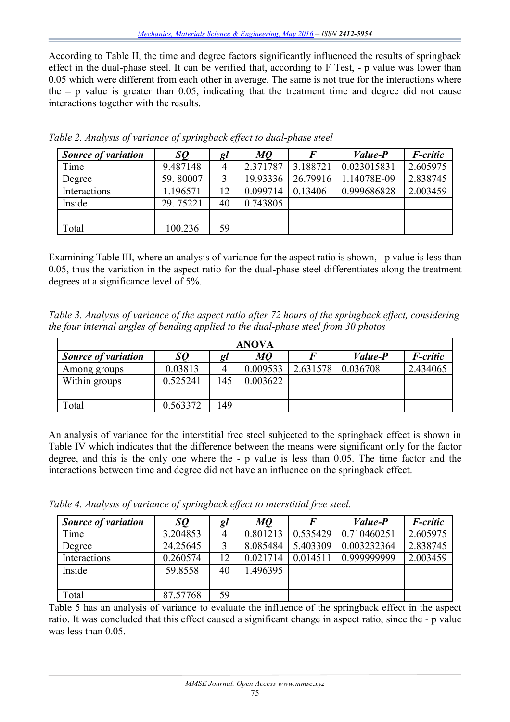According to Table II, the time and degree factors significantly influenced the results of springback effect in the dual-phase steel. It can be verified that, according to F Test, - p value was lower than 0.05 which were different from each other in average. The same is not true for the interactions where the  $-$  p value is greater than 0.05, indicating that the treatment time and degree did not cause interactions together with the results.

| <b>Source of variation</b> | SQ       | gl | <i>MQ</i> | F        | <i>Value-P</i> | F-critic |
|----------------------------|----------|----|-----------|----------|----------------|----------|
| Time                       | 9.487148 |    | 2.371787  | 3.188721 | 0.023015831    | 2.605975 |
| Degree                     | 59.80007 | 2  | 19.93336  | 26.79916 | 1.14078E-09    | 2.838745 |
| Interactions               | 1.196571 | 12 | 0.099714  | 0.13406  | 0.999686828    | 2.003459 |
| Inside                     | 29.75221 | 40 | 0.743805  |          |                |          |
|                            |          |    |           |          |                |          |
| Total                      | 100.236  | 59 |           |          |                |          |

*Table 2. Analysis of variance of springback effect to dual-phase steel*

Examining Table III, where an analysis of variance for the aspect ratio is shown, - p value is less than 0.05, thus the variation in the aspect ratio for the dual-phase steel differentiates along the treatment degrees at a significance level of 5%.

*Table 3. Analysis of variance of the aspect ratio after 72 hours of the springback effect, considering the four internal angles of bending applied to the dual-phase steel from 30 photos*

| <b>ANOVA</b>               |          |     |          |          |                |                 |  |  |  |
|----------------------------|----------|-----|----------|----------|----------------|-----------------|--|--|--|
| <b>Source of variation</b> | SQ       | Q l | M0       |          | <i>Value-P</i> | <i>F-critic</i> |  |  |  |
| Among groups               | 0.03813  |     | 0.009533 | 2.631578 | 0.036708       | 2.434065        |  |  |  |
| Within groups              | 0.525241 | 145 | 0.003622 |          |                |                 |  |  |  |
|                            |          |     |          |          |                |                 |  |  |  |
| Total                      | 0.563372 | 149 |          |          |                |                 |  |  |  |

An analysis of variance for the interstitial free steel subjected to the springback effect is shown in Table IV which indicates that the difference between the means were significant only for the factor degree, and this is the only one where the - p value is less than 0.05. The time factor and the interactions between time and degree did not have an influence on the springback effect.

*Table 4. Analysis of variance of springback effect to interstitial free steel.*

| <b>Source of variation</b> | SQ       | gl | MQ       |          | <i>Value-P</i> | F-critic |
|----------------------------|----------|----|----------|----------|----------------|----------|
| Time                       | 3.204853 |    | 0.801213 | 0.535429 | 0.710460251    | 2.605975 |
| Degree                     | 24.25645 |    | 8.085484 | 5.403309 | 0.003232364    | 2.838745 |
| Interactions               | 0.260574 | 12 | 0.021714 | 0.014511 | 0.999999999    | 2.003459 |
| Inside                     | 59.8558  | 40 | .496395  |          |                |          |
|                            |          |    |          |          |                |          |
| Total                      | 87.57768 | 59 |          |          |                |          |

Table 5 has an analysis of variance to evaluate the influence of the springback effect in the aspect ratio. It was concluded that this effect caused a significant change in aspect ratio, since the - p value was less than 0.05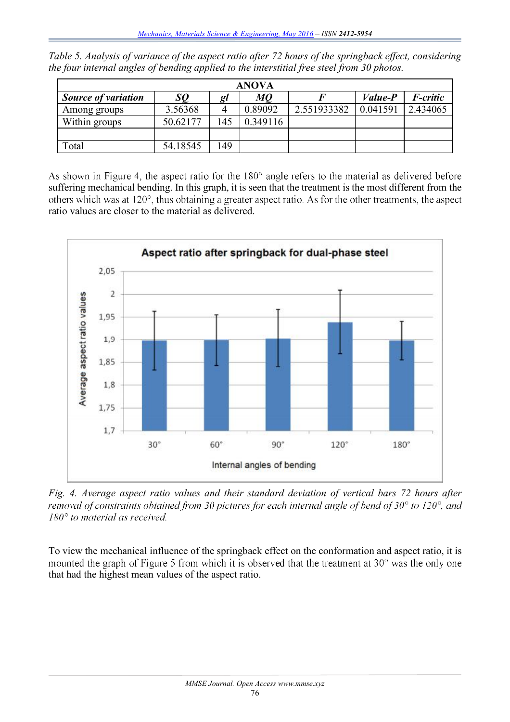|  |  |                                                                                            |  |  | Table 5. Analysis of variance of the aspect ratio after 72 hours of the springback effect, considering |
|--|--|--------------------------------------------------------------------------------------------|--|--|--------------------------------------------------------------------------------------------------------|
|  |  | the four internal angles of bending applied to the interstitial free steel from 30 photos. |  |  |                                                                                                        |

| <b>ANOVA</b>               |          |     |          |             |                |                 |  |  |  |  |
|----------------------------|----------|-----|----------|-------------|----------------|-----------------|--|--|--|--|
| <b>Source of variation</b> | SQ       | Q l | МQ       |             | <i>Value-P</i> | <i>F-critic</i> |  |  |  |  |
| Among groups               | 3.56368  |     | 0.89092  | 2.551933382 | 0.041591       | 2.434065        |  |  |  |  |
| Within groups              | 50.62177 | 45  | 0.349116 |             |                |                 |  |  |  |  |
|                            |          |     |          |             |                |                 |  |  |  |  |
| Total                      | 54.18545 | 49  |          |             |                |                 |  |  |  |  |

As shown in Figure 4, the aspect ratio for the 180° angle refers to the material as delivered before suffering mechanical bending. In this graph, it is seen that the treatment is the most different from the others which was at 120°, thus obtaining a greater aspect ratio. As for the other treatments, the aspect ratio values are closer to the material as delivered.



*Fig. 4. Average aspect ratio values and their standard deviation of vertical bars 72 hours after*   $180^{\circ}$  to material as received.

To view the mechanical influence of the springback effect on the conformation and aspect ratio, it is mounted the graph of Figure 5 from which it is observed that the treatment at  $30^{\circ}$  was the only one that had the highest mean values of the aspect ratio.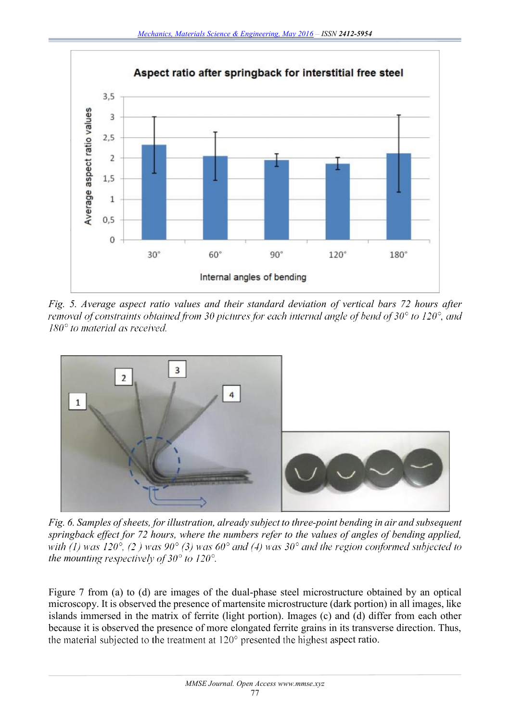

*Fig. 5. Average aspect ratio values and their standard deviation of vertical bars 72 hours after removal of constraints obtained from 30 pictures for each internal angle of bend of 30° to 120°, and*  $180^{\circ}$  to material as received.



*Fig. 6. Samples of sheets, for illustration, already subject to three-point bending in air and subsequent springback effect for 72 hours, where the numbers refer to the values of angles of bending applied,*  with (1) was 120°, (2) was 90° (3) was 60° and (4) was 30° and the region conformed subjected to *the mounting respectively of 30° to 120°.* 

Figure 7 from (a) to (d) are images of the dual-phase steel microstructure obtained by an optical microscopy. It is observed the presence of martensite microstructure (dark portion) in all images, like islands immersed in the matrix of ferrite (light portion). Images (c) and (d) differ from each other because it is observed the presence of more elongated ferrite grains in its transverse direction. Thus, the material subjected to the treatment at  $120^{\circ}$  presented the highest aspect ratio.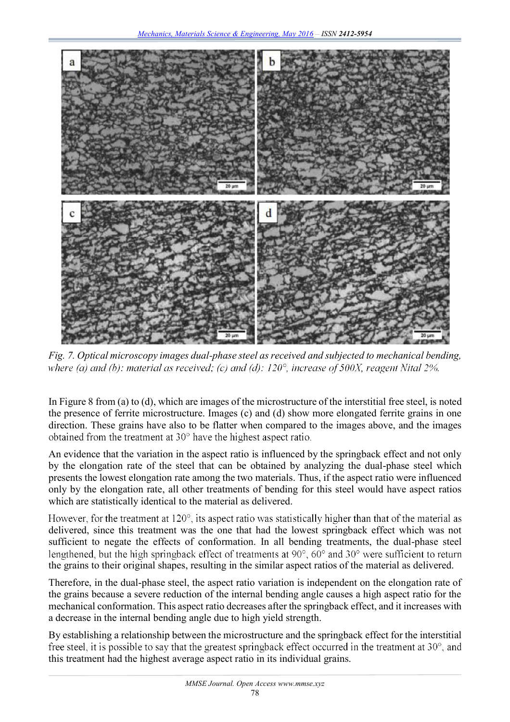

*Fig. 7. Optical microscopy images dual-phase steel as received and subjected to mechanical bending, where (a) and (b): material as received; (c) and (d): 120°, increase of 500X, reagent Nital 2%.* 

In Figure 8 from (a) to (d), which are images of the microstructure of the interstitial free steel, is noted the presence of ferrite microstructure. Images (c) and (d) show more elongated ferrite grains in one direction. These grains have also to be flatter when compared to the images above, and the images obtained from the treatment at  $30^{\circ}$  have the highest aspect ratio.

An evidence that the variation in the aspect ratio is influenced by the springback effect and not only by the elongation rate of the steel that can be obtained by analyzing the dual-phase steel which presents the lowest elongation rate among the two materials. Thus, if the aspect ratio were influenced only by the elongation rate, all other treatments of bending for this steel would have aspect ratios which are statistically identical to the material as delivered.

However, for the treatment at  $120^{\circ}$ , its aspect ratio was statistically higher than that of the material as delivered, since this treatment was the one that had the lowest springback effect which was not sufficient to negate the effects of conformation. In all bending treatments, the dual-phase steel lengthened, but the high springback effect of treatments at  $90^{\circ}$ ,  $60^{\circ}$  and  $30^{\circ}$  were sufficient to return the grains to their original shapes, resulting in the similar aspect ratios of the material as delivered.

Therefore, in the dual-phase steel, the aspect ratio variation is independent on the elongation rate of the grains because a severe reduction of the internal bending angle causes a high aspect ratio for the mechanical conformation. This aspect ratio decreases after the springback effect, and it increases with a decrease in the internal bending angle due to high yield strength.

By establishing a relationship between the microstructure and the springback effect for the interstitial free steel, it is possible to say that the greatest springback effect occurred in the treatment at 30°, and this treatment had the highest average aspect ratio in its individual grains.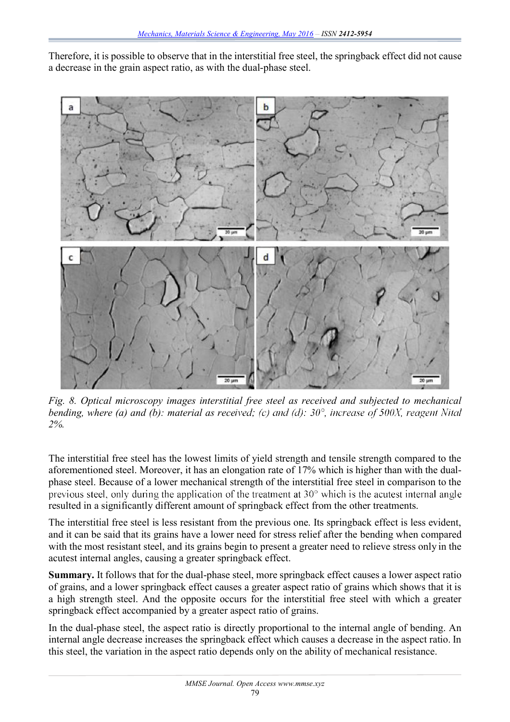Therefore, it is possible to observe that in the interstitial free steel, the springback effect did not cause a decrease in the grain aspect ratio, as with the dual-phase steel.



*Fig. 8. Optical microscopy images interstitial free steel as received and subjected to mechanical bending, where (a) and (b): material as received; (c) and (d): 30°, increase of 500X, reagent Nital 2%.*

The interstitial free steel has the lowest limits of yield strength and tensile strength compared to the aforementioned steel. Moreover, it has an elongation rate of 17% which is higher than with the dualphase steel. Because of a lower mechanical strength of the interstitial free steel in comparison to the previous steel, only during the application of the treatment at  $30^{\circ}$  which is the acutest internal angle resulted in a significantly different amount of springback effect from the other treatments.

The interstitial free steel is less resistant from the previous one. Its springback effect is less evident, and it can be said that its grains have a lower need for stress relief after the bending when compared with the most resistant steel, and its grains begin to present a greater need to relieve stress only in the acutest internal angles, causing a greater springback effect.

**Summary.** It follows that for the dual-phase steel, more springback effect causes a lower aspect ratio of grains, and a lower springback effect causes a greater aspect ratio of grains which shows that it is a high strength steel. And the opposite occurs for the interstitial free steel with which a greater springback effect accompanied by a greater aspect ratio of grains.

In the dual-phase steel, the aspect ratio is directly proportional to the internal angle of bending. An internal angle decrease increases the springback effect which causes a decrease in the aspect ratio. In this steel, the variation in the aspect ratio depends only on the ability of mechanical resistance.